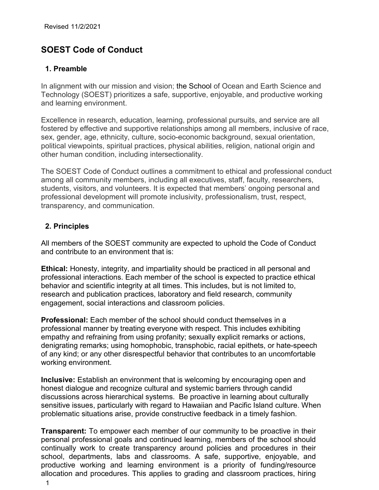# **SOEST Code of Conduct**

# **1. Preamble**

In alignment with our mission and vision; the School of Ocean and Earth Science and Technology (SOEST) prioritizes a safe, supportive, enjoyable, and productive working and learning environment.

Excellence in research, education, learning, professional pursuits, and service are all fostered by effective and supportive relationships among all members, inclusive of race, sex, gender, age, ethnicity, culture, socio-economic background, sexual orientation, political viewpoints, spiritual practices, physical abilities, religion, national origin and other human condition, including intersectionality.

The SOEST Code of Conduct outlines a commitment to ethical and professional conduct among all community members, including all executives, staff, faculty, researchers, students, visitors, and volunteers. It is expected that members' ongoing personal and professional development will promote inclusivity, professionalism, trust, respect, transparency, and communication.

# **2. Principles**

All members of the SOEST community are expected to uphold the Code of Conduct and contribute to an environment that is:

**Ethical:** Honesty, integrity, and impartiality should be practiced in all personal and professional interactions. Each member of the school is expected to practice ethical behavior and scientific integrity at all times. This includes, but is not limited to, research and publication practices, laboratory and field research, community engagement, social interactions and classroom policies.

**Professional:** Each member of the school should conduct themselves in a professional manner by treating everyone with respect. This includes exhibiting empathy and refraining from using profanity; sexually explicit remarks or actions, denigrating remarks; using homophobic, transphobic, racial epithets, or hate-speech of any kind; or any other disrespectful behavior that contributes to an uncomfortable working environment.

**Inclusive:** Establish an environment that is welcoming by encouraging open and honest dialogue and recognize cultural and systemic barriers through candid discussions across hierarchical systems. Be proactive in learning about culturally sensitive issues, particularly with regard to Hawaiian and Pacific Island culture. When problematic situations arise, provide constructive feedback in a timely fashion.

**Transparent:** To empower each member of our community to be proactive in their personal professional goals and continued learning, members of the school should continually work to create transparency around policies and procedures in their school, departments, labs and classrooms. A safe, supportive, enjoyable, and productive working and learning environment is a priority of funding/resource allocation and procedures. This applies to grading and classroom practices, hiring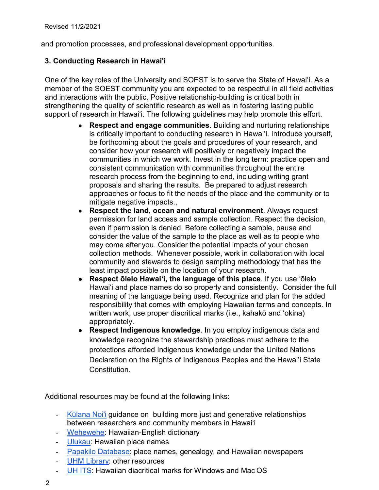and promotion processes, and professional development opportunities.

# **3. Conducting Research in Hawai'i**

One of the key roles of the University and SOEST is to serve the State of Hawaiʻi. As a member of the SOEST community you are expected to be respectful in all field activities and interactions with the public. Positive relationship-building is critical both in strengthening the quality of scientific research as well as in fostering lasting public support of research in Hawaiʻi. The following guidelines may help promote this effort.

- **Respect and engage communities**. Building and nurturing relationships is critically important to conducting research in Hawaiʻi. Introduce yourself, be forthcoming about the goals and procedures of your research, and consider how your research will positively or negatively impact the communities in which we work. Invest in the long term: practice open and consistent communication with communities throughout the entire research process from the beginning to end, including writing grant proposals and sharing the results. Be prepared to adjust research approaches or focus to fit the needs of the place and the community or to mitigate negative impacts.,
- **Respect the land, ocean and natural environment**. Always request permission for land access and sample collection. Respect the decision, even if permission is denied. Before collecting a sample, pause and consider the value of the sample to the place as well as to people who may come after you. Consider the potential impacts of your chosen collection methods. Whenever possible, work in collaboration with local community and stewards to design sampling methodology that has the least impact possible on the location of your research.
- **Respect ōlelo Hawaiʻi, the language of this place**. If you use ʻōlelo Hawaiʻi and place names do so properly and consistently. Consider the full meaning of the language being used. Recognize and plan for the added responsibility that comes with employing Hawaiian terms and concepts. In written work, use proper diacritical marks (i.e., kahakō and ʻokina) appropriately.
- **Respect Indigenous knowledge**. In you employ indigenous data and knowledge recognize the stewardship practices must adhere to the protections afforded Indigenous knowledge under the United Nations Declaration on the Rights of Indigenous Peoples and the Hawai'i State Constitution.

Additional resources may be found at the following links:

- [Kūlana Noi'i](https://seagrant.soest.hawaii.edu/wp-content/uploads/2021/09/Kulana-Noii-2.0_LowRes.pdf) guidance on building more just and generative relationships between researchers and community members in Hawaiʻi
- Wehewehe: Hawaiian-English dictionary
- Ulukau: Hawaiian place names
- Papakilo Database: place names, genealogy, and Hawaiian newspapers
- UHM Library: other resources
- UH ITS: Hawaiian diacritical marks for Windows and Mac OS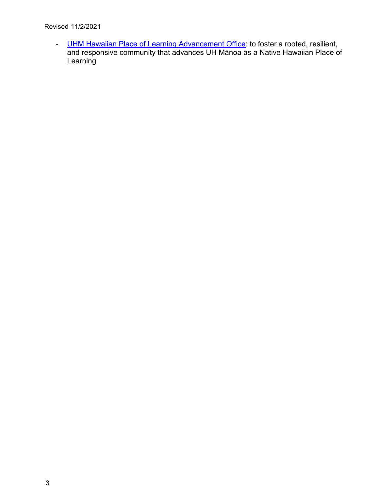- [UHM Hawaiian Place of Learning Advancement Office:](https://manoa.hawaii.edu/nhpol/) to foster a rooted, resilient, and responsive community that advances UH Mānoa as a Native Hawaiian Place of **Learning**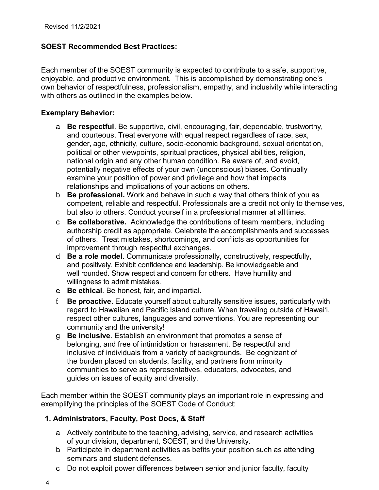## **SOEST Recommended Best Practices:**

Each member of the SOEST community is expected to contribute to a safe, supportive, enjoyable, and productive environment. This is accomplished by demonstrating one's own behavior of respectfulness, professionalism, empathy, and inclusivity while interacting with others as outlined in the examples below.

#### **Exemplary Behavior:**

- a. **Be respectful**. Be supportive, civil, encouraging, fair, dependable, trustworthy, and courteous. Treat everyone with equal respect regardless of race, sex, gender, age, ethnicity, culture, socio-economic background, sexual orientation, political or other viewpoints, spiritual practices, physical abilities, religion, national origin and any other human condition. Be aware of, and avoid, potentially negative effects of your own (unconscious) biases. Continually examine your position of power and privilege and how that impacts relationships and implications of your actions on others.
- b. **Be professional.** Work and behave in such a way that others think of you as competent, reliable and respectful. Professionals are a credit not only to themselves, but also to others. Conduct yourself in a professional manner at all times.
- c. **Be collaborative.** Acknowledge the contributions of team members, including authorship credit as appropriate. Celebrate the accomplishments and successes of others. Treat mistakes, shortcomings, and conflicts as opportunities for improvement through respectful exchanges.
- d. **Be a role model**. Communicate professionally, constructively, respectfully, and positively. Exhibit confidence and leadership. Be knowledgeable and well rounded. Show respect and concern for others. Have humility and willingness to admit mistakes.
- e. **Be ethical**. Be honest, fair, and impartial.
- f. **Be proactive**. Educate yourself about culturally sensitive issues, particularly with regard to Hawaiian and Pacific Island culture. When traveling outside of Hawaiʻi, respect other cultures, languages and conventions. You are representing our community and the university!
- g. **Be inclusive**. Establish an environment that promotes a sense of belonging, and free of intimidation or harassment. Be respectful and inclusive of individuals from a variety of backgrounds. Be cognizant of the burden placed on students, facility, and partners from minority communities to serve as representatives, educators, advocates, and guides on issues of equity and diversity.

Each member within the SOEST community plays an important role in expressing and exemplifying the principles of the SOEST Code of Conduct:

# **1. Administrators, Faculty, Post Docs, & Staff**

- a. Actively contribute to the teaching, advising, service, and research activities of your division, department, SOEST, and the University.
- b. Participate in department activities as befits your position such as attending seminars and student defenses.
- c. Do not exploit power differences between senior and junior faculty, faculty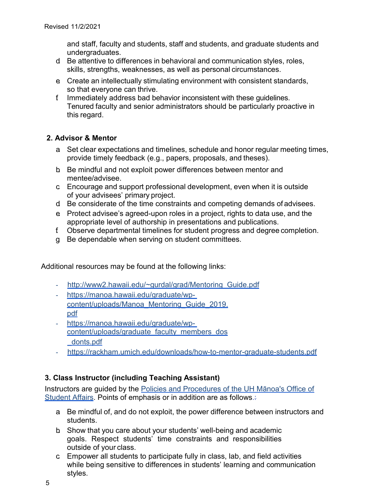and staff, faculty and students, staff and students, and graduate students and undergraduates.

- d. Be attentive to differences in behavioral and communication styles, roles, skills, strengths, weaknesses, as well as personal circumstances.
- e. Create an intellectually stimulating environment with consistent standards, so that everyone can thrive.
- f. Immediately address bad behavior inconsistent with these guidelines. Tenured faculty and senior administrators should be particularly proactive in this regard.

# **2. Advisor & Mentor**

- a. Set clear expectations and timelines, schedule and honor regular meeting times, provide timely feedback (e.g., papers, proposals, and theses).
- b. Be mindful and not exploit power differences between mentor and mentee/advisee.
- c. Encourage and support professional development, even when it is outside of your advisees' primary project.
- d. Be considerate of the time constraints and competing demands of advisees.
- e. Protect advisee's agreed-upon roles in a project, rights to data use, and the appropriate level of authorship in presentations and publications.
- f. Observe departmental timelines for student progress and degree completion.
- g. Be dependable when serving on student committees.

Additional resources may be found at the following links:

- http://www2.hawaii.edu/~gurdal/grad/Mentoring Guide.pdf
- https://manoa.hawaii.edu/graduate/wpcontent/uploads/Manoa\_Mentoring\_Guide\_2019. pdf
- https://manoa.hawaii.edu/graduate/wpcontent/uploads/graduate\_faculty\_members\_dos \_donts.pdf
- https://rackham.umich.edu/downloads/how-to-mentor-graduate-students.pdf

# **3. Class Instructor (including Teaching Assistant)**

Instructors are guided by the Policies and Procedures of the UH Mānoa's Office of Student Affairs. Points of emphasis or in addition are as follows.

- a. Be mindful of, and do not exploit, the power difference between instructors and students.
- b. Show that you care about your students' well-being and academic goals. Respect students' time constraints and responsibilities outside of your class.
- c. Empower all students to participate fully in class, lab, and field activities while being sensitive to differences in students' learning and communication styles.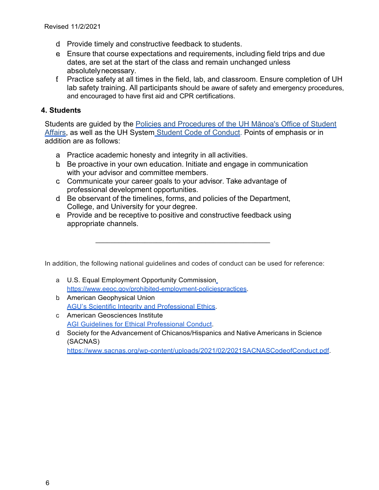- d. Provide timely and constructive feedback to students.
- e. Ensure that course expectations and requirements, including field trips and due dates, are set at the start of the class and remain unchanged unless absolutelynecessary.
- f. Practice safety at all times in the field, lab, and classroom. Ensure completion of UH lab safety training. All participants should be aware of safety and emergency procedures, and encouraged to have first aid and CPR certifications.

#### **4. Students**

Students are guided by the Policies and Procedures of the UH Mānoa's Office of Student Affairs, as well as the UH System Student Code of Conduct. Points of emphasis or in addition are as follows:

- a. Practice academic honesty and integrity in all activities.
- b. Be proactive in your own education. Initiate and engage in communication with your advisor and committee members.
- c. Communicate your career goals to your advisor. Take advantage of professional development opportunities.
- d. Be observant of the timelines, forms, and policies of the Department, College, and University for your degree.
- e. Provide and be receptive to positive and constructive feedback using appropriate channels.

In addition, the following national guidelines and codes of conduct can be used for reference:

\_\_\_\_\_\_\_\_\_\_\_\_\_\_\_\_\_\_\_\_\_\_\_\_\_\_\_\_\_\_\_\_\_\_\_\_\_\_\_\_\_\_\_\_\_\_

- a. U.S. Equal Employment Opportunity Commission https:/[/www.eeoc.gov/prohibited-employment-policiespractices.](http://www.eeoc.gov/prohibited-employment-policiespractices)
- b. American Geophysical Union AGU's Scientific Integrity and Professional Ethics.
- c. American Geosciences Institute AGI Guidelines for Ethical Professional Conduct.
- d. Society for the Advancement of Chicanos/Hispanics and Native Americans in Science (SACNAS)

https:/[/www.sacnas.org/wp-content/uploads/2021/02/2021SACNASCodeofConduct.pdf.](http://www.sacnas.org/wp-content/uploads/2021/02/2021SACNASCodeofConduct.pdf)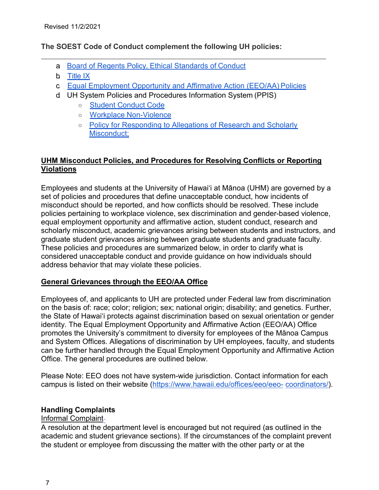## **The SOEST Code of Conduct complement the following UH policies:**

- a. Board of Regents Policy, Ethical Standards of Conduct
- b. Title IX
- c. Equal Employment Opportunity and Affirmative Action (EEO/AA) Policies
- d. UH System Policies and Procedures Information System (PPIS)
	- Student Conduct Code
	- Workplace Non-Violence
	- Policy for Responding to Allegations of Research and Scholarly Misconduct;

# **UHM Misconduct Policies, and Procedures for Resolving Conflicts or Reporting Violations**

Employees and students at the University of Hawaiʻi at Mānoa (UHM) are governed by a set of policies and procedures that define unacceptable conduct, how incidents of misconduct should be reported, and how conflicts should be resolved. These include policies pertaining to workplace violence, sex discrimination and gender-based violence, equal employment opportunity and affirmative action, student conduct, research and scholarly misconduct, academic grievances arising between students and instructors, and graduate student grievances arising between graduate students and graduate faculty. These policies and procedures are summarized below, in order to clarify what is considered unacceptable conduct and provide guidance on how individuals should address behavior that may violate these policies.

# **General Grievances through the EEO/AA Office**

Employees of, and applicants to UH are protected under Federal law from discrimination on the basis of: race; color; religion; sex; national origin; disability; and genetics. Further, the State of Hawaiʻi protects against discrimination based on sexual orientation or gender identity. The Equal Employment Opportunity and Affirmative Action (EEO/AA) Office promotes the University's commitment to diversity for employees of the Mānoa Campus and System Offices. Allegations of discrimination by UH employees, faculty, and students can be further handled through the Equal Employment Opportunity and Affirmative Action Office. The general procedures are outlined below.

Please Note: EEO does not have system-wide jurisdiction. Contact information for each campus is listed on their website (https:/[/www.hawaii.edu/offices/eeo/eeo-](http://www.hawaii.edu/offices/eeo/eeo-) coordinators/).

# **Handling Complaints**

#### Informal Complaint

A resolution at the department level is encouraged but not required (as outlined in the academic and student grievance sections). If the circumstances of the complaint prevent the student or employee from discussing the matter with the other party or at the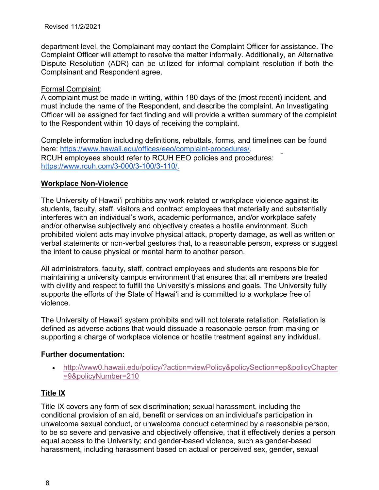department level, the Complainant may contact the Complaint Officer for assistance. The Complaint Officer will attempt to resolve the matter informally. Additionally, an Alternative Dispute Resolution (ADR) can be utilized for informal complaint resolution if both the Complainant and Respondent agree.

#### Formal Complaint:

A complaint must be made in writing, within 180 days of the (most recent) incident, and must include the name of the Respondent, and describe the complaint. An Investigating Officer will be assigned for fact finding and will provide a written summary of the complaint to the Respondent within 10 days of receiving the complaint.

Complete information including definitions, rebuttals, forms, and timelines can be found here: https:/[/www.hawaii.edu/offices/eeo/complaint-procedures/.](http://www.hawaii.edu/offices/eeo/complaint-procedures/) RCUH employees should refer to RCUH EEO policies and procedures: https:/[/www.rcuh.com/3-000/3-100/3-110/.](http://www.rcuh.com/3-000/3-100/3-110/)

## **Workplace Non-Violence**

The University of Hawai'i prohibits any work related or workplace violence against its students, faculty, staff, visitors and contract employees that materially and substantially interferes with an individual's work, academic performance, and/or workplace safety and/or otherwise subjectively and objectively creates a hostile environment. Such prohibited violent acts may involve physical attack, property damage, as well as written or verbal statements or non-verbal gestures that, to a reasonable person, express or suggest the intent to cause physical or mental harm to another person.

All administrators, faculty, staff, contract employees and students are responsible for maintaining a university campus environment that ensures that all members are treated with civility and respect to fulfill the University's missions and goals. The University fully supports the efforts of the State of Hawai'i and is committed to a workplace free of violence.

The University of Hawai'i system prohibits and will not tolerate retaliation. Retaliation is defined as adverse actions that would dissuade a reasonable person from making or supporting a charge of workplace violence or hostile treatment against any individual.

#### **Further documentation:**

• <http://www0.hawaii.edu/policy/?action=viewPolicy&policySection=ep&policyChapter> =9&policyNumber=210

# **Title IX**

Title IX covers any form of sex discrimination; sexual harassment, including the conditional provision of an aid, benefit or services on an individual's participation in unwelcome sexual conduct, or unwelcome conduct determined by a reasonable person, to be so severe and pervasive and objectively offensive, that it effectively denies a person equal access to the University; and gender-based violence, such as gender-based harassment, including harassment based on actual or perceived sex, gender, sexual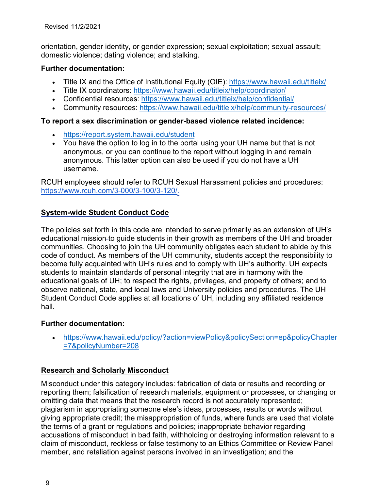orientation, gender identity, or gender expression; sexual exploitation; sexual assault; domestic violence; dating violence; and stalking.

#### **Further documentation:**

- Title IX and the Office of Institutional Equity (OIE): https:/[/www.hawaii.edu/titleix/](http://www.hawaii.edu/titleix/)
- Title IX coordinators: https:/[/www.hawaii.edu/titleix/help/coordinator/](http://www.hawaii.edu/titleix/help/coordinator/)
- Confidential resources: https:/[/www.hawaii.edu/titleix/help/confidential/](http://www.hawaii.edu/titleix/help/confidential/)
- Community resources: https:/[/www.hawaii.edu/titleix/help/community-resources/](http://www.hawaii.edu/titleix/help/community-resources/)

#### **To report a sex discrimination or gender-based violence related incidence:**

- https://report.system.hawaii.edu/student
- You have the option to log in to the portal using your UH name but that is not anonymous, or you can continue to the report without logging in and remain anonymous. This latter option can also be used if you do not have a UH username.

RCUH employees should refer to RCUH Sexual Harassment policies and procedures: https:/[/www.rcuh.com/3-000/3-100/3-120/.](http://www.rcuh.com/3-000/3-100/3-120/)

# **System-wide Student Conduct Code**

The policies set forth in this code are intended to serve primarily as an extension of UH's educational mission to guide students in their growth as members of the UH and broader communities. Choosing to join the UH community obligates each student to abide by this code of conduct. As members of the UH community, students accept the responsibility to become fully acquainted with UH's rules and to comply with UH's authority. UH expects students to maintain standards of personal integrity that are in harmony with the educational goals of UH; to respect the rights, privileges, and property of others; and to observe national, state, and local laws and University policies and procedures. The UH Student Conduct Code applies at all locations of UH, including any affiliated residence hall.

#### **Further documentation:**

• https:/[/www.hawaii.edu/policy/?action=viewPolicy&policySection=ep&policyChapter](http://www.hawaii.edu/policy/?action=viewPolicy&policySection=ep&policyChapter) =7&policyNumber=208

# **Research and Scholarly Misconduct**

Misconduct under this category includes: fabrication of data or results and recording or reporting them; falsification of research materials, equipment or processes, or changing or omitting data that means that the research record is not accurately represented; plagiarism in appropriating someone else's ideas, processes, results or words without giving appropriate credit; the misappropriation of funds, where funds are used that violate the terms of a grant or regulations and policies; inappropriate behavior regarding accusations of misconduct in bad faith, withholding or destroying information relevant to a claim of misconduct, reckless or false testimony to an Ethics Committee or Review Panel member, and retaliation against persons involved in an investigation; and the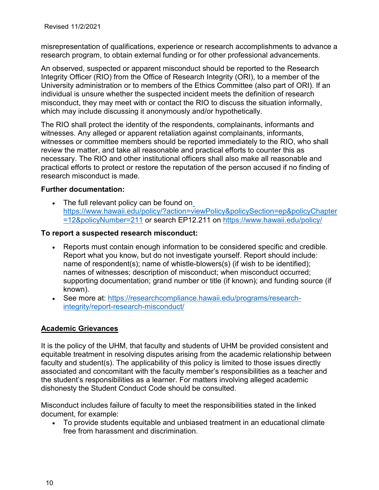misrepresentation of qualifications, experience or research accomplishments to advance a research program, to obtain external funding or for other professional advancements.

An observed, suspected or apparent misconduct should be reported to the Research Integrity Officer (RIO) from the Office of Research Integrity (ORI), to a member of the University administration or to members of the Ethics Committee (also part of ORI). If an individual is unsure whether the suspected incident meets the definition of research misconduct, they may meet with or contact the RIO to discuss the situation informally, which may include discussing it anonymously and/or hypothetically.

The RIO shall protect the identity of the respondents, complainants, informants and witnesses. Any alleged or apparent retaliation against complainants, informants, witnesses or committee members should be reported immediately to the RIO, who shall review the matter, and take all reasonable and practical efforts to counter this as necessary. The RIO and other institutional officers shall also make all reasonable and practical efforts to protect or restore the reputation of the person accused if no finding of research misconduct is made.

#### **Further documentation:**

• The full relevant policy can be found on https:/[/www.hawaii.edu/policy/?action=viewPolicy&policySection=ep&policyChapter](http://www.hawaii.edu/policy/?action=viewPolicy&policySection=ep&policyChapter) =12&policyNumber=211 or search EP12.211 on https:/[/www.hawaii.edu/policy/](http://www.hawaii.edu/policy/)

#### **To report a suspected research misconduct:**

- Reports must contain enough information to be considered specific and credible. Report what you know, but do not investigate yourself. Report should include: name of respondent(s); name of whistle-blowers(s) (if wish to be identified); names of witnesses; description of misconduct; when misconduct occurred; supporting documentation; grand number or title (if known); and funding source (if known).
- See more at: https://researchcompliance.hawaii.edu/programs/researchintegrity/report-research-misconduct/

#### **Academic Grievances**

It is the policy of the UHM, that faculty and students of UHM be provided consistent and equitable treatment in resolving disputes arising from the academic relationship between faculty and student(s). The applicability of this policy is limited to those issues directly associated and concomitant with the faculty member's responsibilities as a teacher and the student's responsibilities as a learner. For matters involving alleged academic dishonesty the Student Conduct Code should be consulted.

Misconduct includes failure of faculty to meet the responsibilities stated in the linked document, for example:

• To provide students equitable and unbiased treatment in an educational climate free from harassment and discrimination.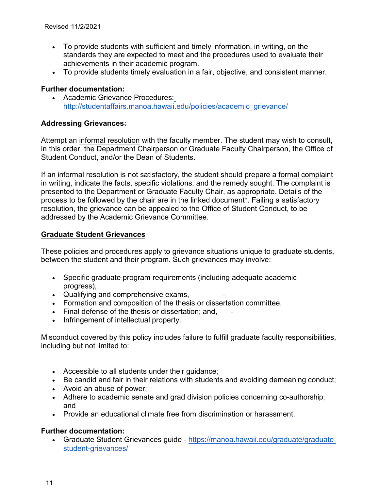- To provide students with sufficient and timely information, in writing, on the standards they are expected to meet and the procedures used to evaluate their achievements in their academic program.
- To provide students timely evaluation in a fair, objective, and consistent manner.

#### **Further documentation:**

• Academic Grievance Procedures[:](http://studentaffairs.manoa.hawaii.edu/policies/academic_grievance/) [http://studentaffairs.manoa.hawaii.edu/policies/academic\\_grievance/](http://studentaffairs.manoa.hawaii.edu/policies/academic_grievance/)

## **Addressing Grievances:**

Attempt an informal resolution with the faculty member. The student may wish to consult, in this order, the Department Chairperson or Graduate Faculty Chairperson, the Office of Student Conduct, and/or the Dean of Students.

If an informal resolution is not satisfactory, the student should prepare a formal complaint in writing, indicate the facts, specific violations, and the remedy sought. The complaint is presented to the Department or Graduate Faculty Chair, as appropriate. Details of the process to be followed by the chair are in the linked document\*. Failing a satisfactory resolution, the grievance can be appealed to the Office of Student Conduct, to be addressed by the Academic Grievance Committee.

## **Graduate Student Grievances**

These policies and procedures apply to grievance situations unique to graduate students, between the student and their program. Such grievances may involve:

- Specific graduate program requirements (including adequate academic progress),
- Qualifying and comprehensive exams,
- Formation and composition of the thesis or dissertation committee,
- Final defense of the thesis or dissertation; and,
- Infringement of intellectual property.

Misconduct covered by this policy includes failure to fulfill graduate faculty responsibilities, including but not limited to:

- Accessible to all students under their guidance;
- Be candid and fair in their relations with students and avoiding demeaning conduct;
- Avoid an abuse of power;
- Adhere to academic senate and grad division policies concerning co-authorship; and
- Provide an educational climate free from discrimination or harassment.

#### **Further documentation:**

• Graduate Student Grievances guide - https://manoa.hawaii.edu/graduate/graduatestudent-grievances/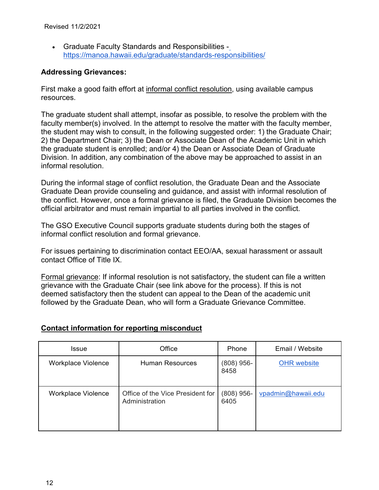• Graduate Faculty Standards and Responsibilities https://manoa.hawaii.edu/graduate/standards-responsibilities/

## **Addressing Grievances:**

First make a good faith effort at informal conflict resolution, using available campus resources.

The graduate student shall attempt, insofar as possible, to resolve the problem with the faculty member(s) involved. In the attempt to resolve the matter with the faculty member, the student may wish to consult, in the following suggested order: 1) the Graduate Chair; 2) the Department Chair; 3) the Dean or Associate Dean of the Academic Unit in which the graduate student is enrolled; and/or 4) the Dean or Associate Dean of Graduate Division. In addition, any combination of the above may be approached to assist in an informal resolution.

During the informal stage of conflict resolution, the Graduate Dean and the Associate Graduate Dean provide counseling and guidance, and assist with informal resolution of the conflict. However, once a formal grievance is filed, the Graduate Division becomes the official arbitrator and must remain impartial to all parties involved in the conflict.

The GSO Executive Council supports graduate students during both the stages of informal conflict resolution and formal grievance.

For issues pertaining to discrimination contact EEO/AA, sexual harassment or assault contact Office of Title IX.

Formal grievance: If informal resolution is not satisfactory, the student can file a written grievance with the Graduate Chair (see link above for the process). If this is not deemed satisfactory then the student can appeal to the Dean of the academic unit followed by the Graduate Dean, who will form a Graduate Grievance Committee.

# **Contact information for reporting misconduct**

| Issue                     | Office                                             | Phone                | Email / Website    |
|---------------------------|----------------------------------------------------|----------------------|--------------------|
| <b>Workplace Violence</b> | <b>Human Resources</b>                             | $(808)$ 956-<br>8458 | <b>OHR</b> website |
| Workplace Violence        | Office of the Vice President for<br>Administration | $(808)$ 956-<br>6405 | vpadmin@hawaii.edu |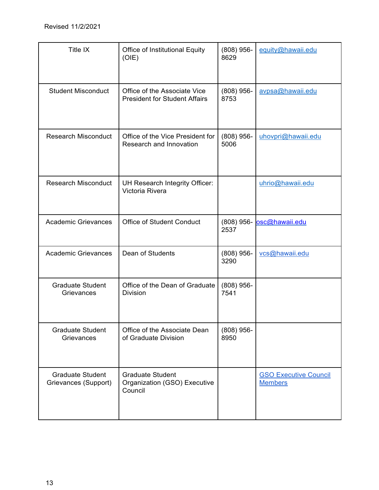| Title IX                                        | <b>Office of Institutional Equity</b><br>(OIE)                       | $(808)$ 956-<br>8629 | equity@hawaii.edu                              |
|-------------------------------------------------|----------------------------------------------------------------------|----------------------|------------------------------------------------|
| <b>Student Misconduct</b>                       | Office of the Associate Vice<br><b>President for Student Affairs</b> | $(808)$ 956-<br>8753 | avpsa@hawaii.edu                               |
| <b>Research Misconduct</b>                      | Office of the Vice President for<br>Research and Innovation          | $(808)$ 956-<br>5006 | uhovpri@hawaii.edu                             |
| <b>Research Misconduct</b>                      | UH Research Integrity Officer:<br>Victoria Rivera                    |                      | uhrio@hawaii.edu                               |
| <b>Academic Grievances</b>                      | <b>Office of Student Conduct</b>                                     | 2537                 | (808) 956- osc@hawaii.edu                      |
| <b>Academic Grievances</b>                      | Dean of Students                                                     | $(808)$ 956-<br>3290 | vcs@hawaii.edu                                 |
| <b>Graduate Student</b><br>Grievances           | Office of the Dean of Graduate<br><b>Division</b>                    | $(808)$ 956-<br>7541 |                                                |
| <b>Graduate Student</b><br>Grievances           | Office of the Associate Dean<br>of Graduate Division                 | $(808)$ 956-<br>8950 |                                                |
| <b>Graduate Student</b><br>Grievances (Support) | <b>Graduate Student</b><br>Organization (GSO) Executive<br>Council   |                      | <b>GSO Executive Council</b><br><b>Members</b> |